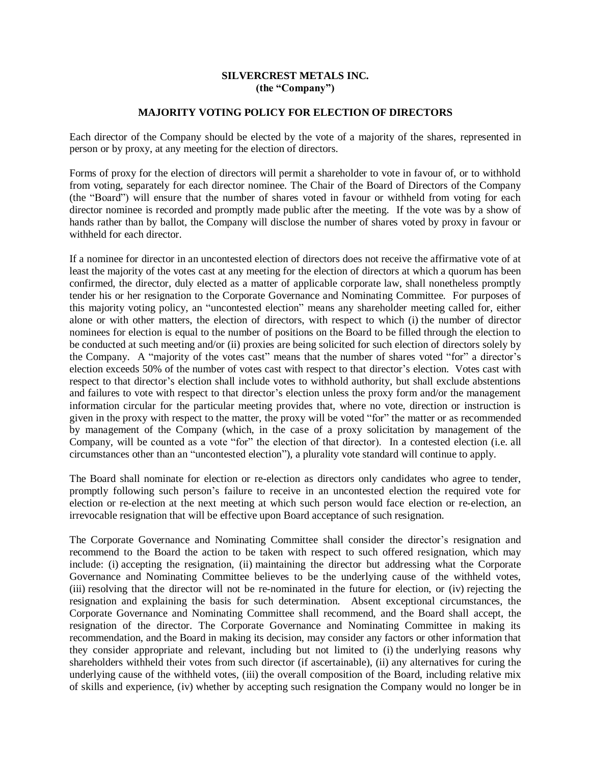## **SILVERCREST METALS INC. (the "Company")**

## **MAJORITY VOTING POLICY FOR ELECTION OF DIRECTORS**

Each director of the Company should be elected by the vote of a majority of the shares, represented in person or by proxy, at any meeting for the election of directors.

Forms of proxy for the election of directors will permit a shareholder to vote in favour of, or to withhold from voting, separately for each director nominee. The Chair of the Board of Directors of the Company (the "Board") will ensure that the number of shares voted in favour or withheld from voting for each director nominee is recorded and promptly made public after the meeting. If the vote was by a show of hands rather than by ballot, the Company will disclose the number of shares voted by proxy in favour or withheld for each director.

If a nominee for director in an uncontested election of directors does not receive the affirmative vote of at least the majority of the votes cast at any meeting for the election of directors at which a quorum has been confirmed, the director, duly elected as a matter of applicable corporate law, shall nonetheless promptly tender his or her resignation to the Corporate Governance and Nominating Committee. For purposes of this majority voting policy, an "uncontested election" means any shareholder meeting called for, either alone or with other matters, the election of directors, with respect to which (i) the number of director nominees for election is equal to the number of positions on the Board to be filled through the election to be conducted at such meeting and/or (ii) proxies are being solicited for such election of directors solely by the Company. A "majority of the votes cast" means that the number of shares voted "for" a director's election exceeds 50% of the number of votes cast with respect to that director's election. Votes cast with respect to that director's election shall include votes to withhold authority, but shall exclude abstentions and failures to vote with respect to that director's election unless the proxy form and/or the management information circular for the particular meeting provides that, where no vote, direction or instruction is given in the proxy with respect to the matter, the proxy will be voted "for" the matter or as recommended by management of the Company (which, in the case of a proxy solicitation by management of the Company, will be counted as a vote "for" the election of that director). In a contested election (i.e. all circumstances other than an "uncontested election"), a plurality vote standard will continue to apply.

The Board shall nominate for election or re-election as directors only candidates who agree to tender, promptly following such person's failure to receive in an uncontested election the required vote for election or re-election at the next meeting at which such person would face election or re-election, an irrevocable resignation that will be effective upon Board acceptance of such resignation.

The Corporate Governance and Nominating Committee shall consider the director's resignation and recommend to the Board the action to be taken with respect to such offered resignation, which may include: (i) accepting the resignation, (ii) maintaining the director but addressing what the Corporate Governance and Nominating Committee believes to be the underlying cause of the withheld votes, (iii) resolving that the director will not be re-nominated in the future for election, or (iv) rejecting the resignation and explaining the basis for such determination. Absent exceptional circumstances, the Corporate Governance and Nominating Committee shall recommend, and the Board shall accept, the resignation of the director. The Corporate Governance and Nominating Committee in making its recommendation, and the Board in making its decision, may consider any factors or other information that they consider appropriate and relevant, including but not limited to (i) the underlying reasons why shareholders withheld their votes from such director (if ascertainable), (ii) any alternatives for curing the underlying cause of the withheld votes, (iii) the overall composition of the Board, including relative mix of skills and experience, (iv) whether by accepting such resignation the Company would no longer be in